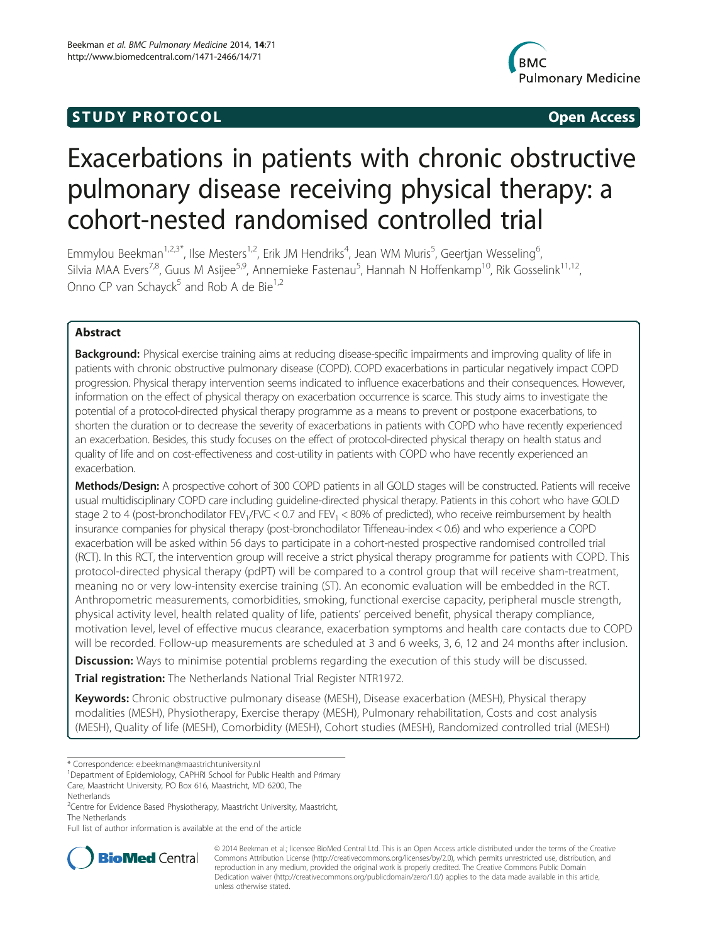# **STUDY PROTOCOL** CONTROL CONTROL CONTROL CONTROL CONTROL CONTROL CONTROL CONTROL CONTROL CONTROL CONTROL CONTROL CONTROL CONTROL CONTROL CONTROL CONTROL CONTROL CONTROL CONTROL CONTROL CONTROL CONTROL CONTROL CONTROL CONTR



# Exacerbations in patients with chronic obstructive pulmonary disease receiving physical therapy: a cohort-nested randomised controlled trial

Emmylou Beekman<sup>1,2,3\*</sup>, Ilse Mesters<sup>1,2</sup>, Erik JM Hendriks<sup>4</sup>, Jean WM Muris<sup>5</sup>, Geertjan Wesseling<sup>6</sup> , Silvia MAA Evers<sup>7,8</sup>, Guus M Asijee<sup>5,9</sup>, Annemieke Fastenau<sup>5</sup>, Hannah N Hoffenkamp<sup>10</sup>, Rik Gosselink<sup>11,12</sup>, Onno CP van Schayck<sup>5</sup> and Rob A de Bie<sup>1,2</sup>

# Abstract

Background: Physical exercise training aims at reducing disease-specific impairments and improving quality of life in patients with chronic obstructive pulmonary disease (COPD). COPD exacerbations in particular negatively impact COPD progression. Physical therapy intervention seems indicated to influence exacerbations and their consequences. However, information on the effect of physical therapy on exacerbation occurrence is scarce. This study aims to investigate the potential of a protocol-directed physical therapy programme as a means to prevent or postpone exacerbations, to shorten the duration or to decrease the severity of exacerbations in patients with COPD who have recently experienced an exacerbation. Besides, this study focuses on the effect of protocol-directed physical therapy on health status and quality of life and on cost-effectiveness and cost-utility in patients with COPD who have recently experienced an exacerbation.

Methods/Design: A prospective cohort of 300 COPD patients in all GOLD stages will be constructed. Patients will receive usual multidisciplinary COPD care including guideline-directed physical therapy. Patients in this cohort who have GOLD stage 2 to 4 (post-bronchodilator FEV<sub>1</sub>/FVC < 0.7 and FEV<sub>1</sub> < 80% of predicted), who receive reimbursement by health insurance companies for physical therapy (post-bronchodilator Tiffeneau-index < 0.6) and who experience a COPD exacerbation will be asked within 56 days to participate in a cohort-nested prospective randomised controlled trial (RCT). In this RCT, the intervention group will receive a strict physical therapy programme for patients with COPD. This protocol-directed physical therapy (pdPT) will be compared to a control group that will receive sham-treatment, meaning no or very low-intensity exercise training (ST). An economic evaluation will be embedded in the RCT. Anthropometric measurements, comorbidities, smoking, functional exercise capacity, peripheral muscle strength, physical activity level, health related quality of life, patients' perceived benefit, physical therapy compliance, motivation level, level of effective mucus clearance, exacerbation symptoms and health care contacts due to COPD will be recorded. Follow-up measurements are scheduled at 3 and 6 weeks, 3, 6, 12 and 24 months after inclusion.

**Discussion:** Ways to minimise potential problems regarding the execution of this study will be discussed.

**Trial registration:** The Netherlands National Trial Register [NTR1972.](http://www.trialregister.nl/trialreg/admin/rctview.asp?TC=1972)

Keywords: Chronic obstructive pulmonary disease (MESH), Disease exacerbation (MESH), Physical therapy modalities (MESH), Physiotherapy, Exercise therapy (MESH), Pulmonary rehabilitation, Costs and cost analysis (MESH), Quality of life (MESH), Comorbidity (MESH), Cohort studies (MESH), Randomized controlled trial (MESH)

<sup>1</sup>Department of Epidemiology, CAPHRI School for Public Health and Primary

**Netherlands** 

Full list of author information is available at the end of the article



© 2014 Beekman et al.; licensee BioMed Central Ltd. This is an Open Access article distributed under the terms of the Creative Commons Attribution License [\(http://creativecommons.org/licenses/by/2.0\)](http://creativecommons.org/licenses/by/2.0), which permits unrestricted use, distribution, and reproduction in any medium, provided the original work is properly credited. The Creative Commons Public Domain Dedication waiver [\(http://creativecommons.org/publicdomain/zero/1.0/](http://creativecommons.org/publicdomain/zero/1.0/)) applies to the data made available in this article, unless otherwise stated.

<sup>\*</sup> Correspondence: [e.beekman@maastrichtuniversity.nl](mailto:e.beekman@maastrichtuniversity.nl) <sup>1</sup>

Care, Maastricht University, PO Box 616, Maastricht, MD 6200, The

<sup>&</sup>lt;sup>2</sup>Centre for Evidence Based Physiotherapy, Maastricht University, Maastricht, The Netherlands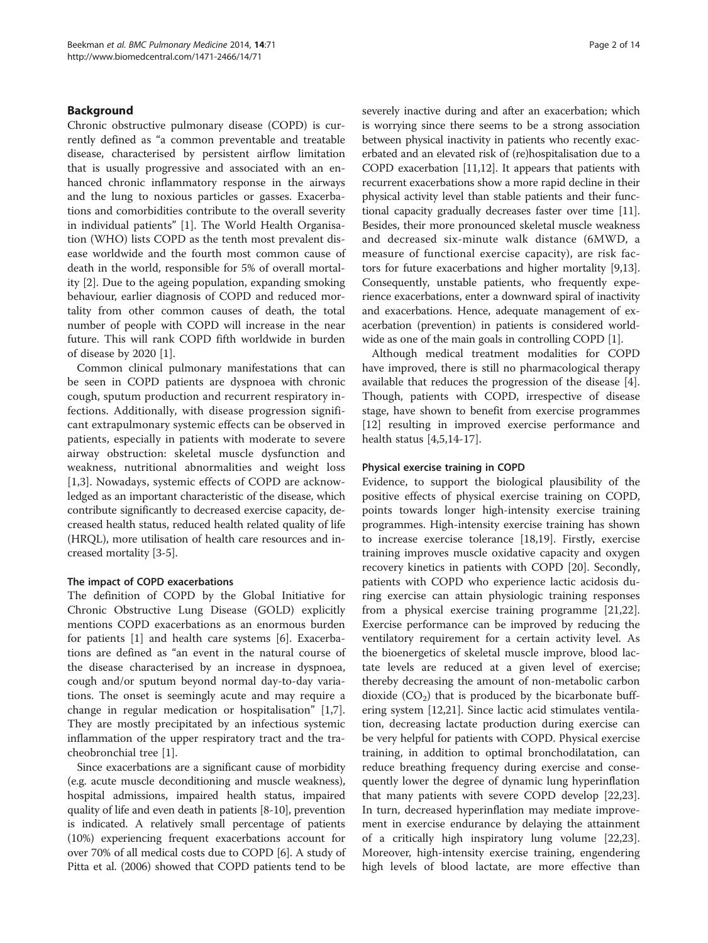#### Background

Chronic obstructive pulmonary disease (COPD) is currently defined as "a common preventable and treatable disease, characterised by persistent airflow limitation that is usually progressive and associated with an enhanced chronic inflammatory response in the airways and the lung to noxious particles or gasses. Exacerbations and comorbidities contribute to the overall severity in individual patients" [\[1\]](#page-11-0). The World Health Organisation (WHO) lists COPD as the tenth most prevalent disease worldwide and the fourth most common cause of death in the world, responsible for 5% of overall mortality [[2\]](#page-11-0). Due to the ageing population, expanding smoking behaviour, earlier diagnosis of COPD and reduced mortality from other common causes of death, the total number of people with COPD will increase in the near future. This will rank COPD fifth worldwide in burden of disease by 2020 [\[1](#page-11-0)].

Common clinical pulmonary manifestations that can be seen in COPD patients are dyspnoea with chronic cough, sputum production and recurrent respiratory infections. Additionally, with disease progression significant extrapulmonary systemic effects can be observed in patients, especially in patients with moderate to severe airway obstruction: skeletal muscle dysfunction and weakness, nutritional abnormalities and weight loss [[1,3](#page-11-0)]. Nowadays, systemic effects of COPD are acknowledged as an important characteristic of the disease, which contribute significantly to decreased exercise capacity, decreased health status, reduced health related quality of life (HRQL), more utilisation of health care resources and increased mortality [\[3](#page-11-0)-[5](#page-11-0)].

#### The impact of COPD exacerbations

The definition of COPD by the Global Initiative for Chronic Obstructive Lung Disease (GOLD) explicitly mentions COPD exacerbations as an enormous burden for patients [[1\]](#page-11-0) and health care systems [\[6](#page-11-0)]. Exacerbations are defined as "an event in the natural course of the disease characterised by an increase in dyspnoea, cough and/or sputum beyond normal day-to-day variations. The onset is seemingly acute and may require a change in regular medication or hospitalisation" [\[1,7](#page-11-0)]. They are mostly precipitated by an infectious systemic inflammation of the upper respiratory tract and the tracheobronchial tree [\[1](#page-11-0)].

Since exacerbations are a significant cause of morbidity (e.g. acute muscle deconditioning and muscle weakness), hospital admissions, impaired health status, impaired quality of life and even death in patients [[8-10\]](#page-11-0), prevention is indicated. A relatively small percentage of patients (10%) experiencing frequent exacerbations account for over 70% of all medical costs due to COPD [\[6\]](#page-11-0). A study of Pitta et al. (2006) showed that COPD patients tend to be

severely inactive during and after an exacerbation; which is worrying since there seems to be a strong association between physical inactivity in patients who recently exacerbated and an elevated risk of (re)hospitalisation due to a COPD exacerbation [\[11,12\]](#page-11-0). It appears that patients with recurrent exacerbations show a more rapid decline in their physical activity level than stable patients and their functional capacity gradually decreases faster over time [[11](#page-11-0)]. Besides, their more pronounced skeletal muscle weakness and decreased six-minute walk distance (6MWD, a measure of functional exercise capacity), are risk factors for future exacerbations and higher mortality [[9,](#page-11-0)[13](#page-12-0)]. Consequently, unstable patients, who frequently experience exacerbations, enter a downward spiral of inactivity and exacerbations. Hence, adequate management of exacerbation (prevention) in patients is considered worldwide as one of the main goals in controlling COPD [[1](#page-11-0)].

Although medical treatment modalities for COPD have improved, there is still no pharmacological therapy available that reduces the progression of the disease [\[4](#page-11-0)]. Though, patients with COPD, irrespective of disease stage, have shown to benefit from exercise programmes [[12\]](#page-11-0) resulting in improved exercise performance and health status [[4](#page-11-0),[5,](#page-11-0)[14-17\]](#page-12-0).

#### Physical exercise training in COPD

Evidence, to support the biological plausibility of the positive effects of physical exercise training on COPD, points towards longer high-intensity exercise training programmes. High-intensity exercise training has shown to increase exercise tolerance [[18,19\]](#page-12-0). Firstly, exercise training improves muscle oxidative capacity and oxygen recovery kinetics in patients with COPD [[20\]](#page-12-0). Secondly, patients with COPD who experience lactic acidosis during exercise can attain physiologic training responses from a physical exercise training programme [\[21,22](#page-12-0)]. Exercise performance can be improved by reducing the ventilatory requirement for a certain activity level. As the bioenergetics of skeletal muscle improve, blood lactate levels are reduced at a given level of exercise; thereby decreasing the amount of non-metabolic carbon dioxide  $(CO_2)$  that is produced by the bicarbonate buffering system [\[12,](#page-11-0)[21\]](#page-12-0). Since lactic acid stimulates ventilation, decreasing lactate production during exercise can be very helpful for patients with COPD. Physical exercise training, in addition to optimal bronchodilatation, can reduce breathing frequency during exercise and consequently lower the degree of dynamic lung hyperinflation that many patients with severe COPD develop [\[22,23](#page-12-0)]. In turn, decreased hyperinflation may mediate improvement in exercise endurance by delaying the attainment of a critically high inspiratory lung volume [\[22,23](#page-12-0)]. Moreover, high-intensity exercise training, engendering high levels of blood lactate, are more effective than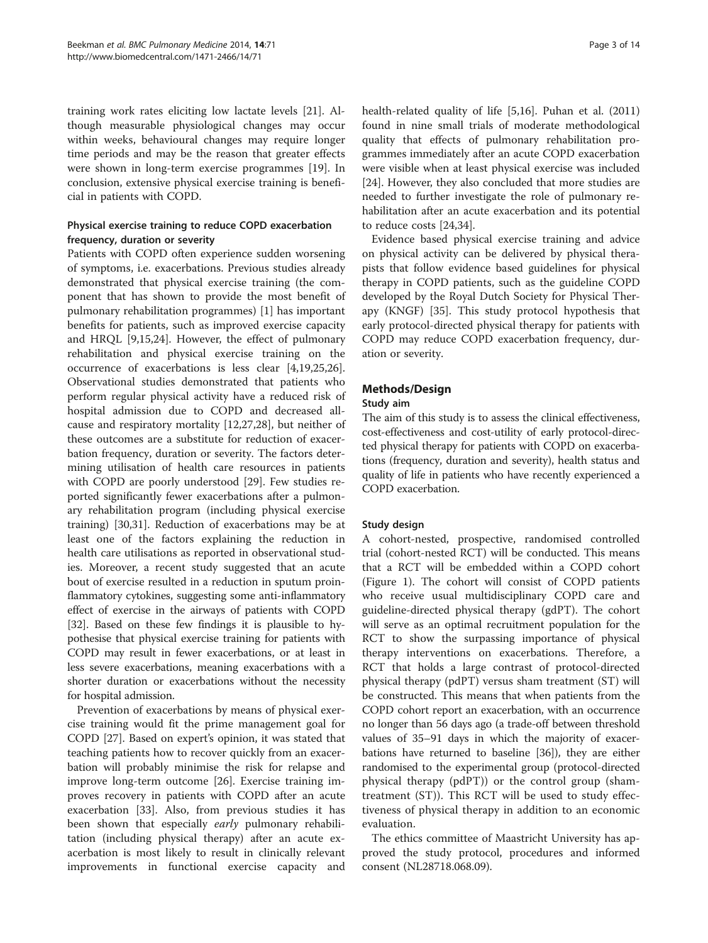training work rates eliciting low lactate levels [[21\]](#page-12-0). Although measurable physiological changes may occur within weeks, behavioural changes may require longer time periods and may be the reason that greater effects were shown in long-term exercise programmes [[19](#page-12-0)]. In conclusion, extensive physical exercise training is beneficial in patients with COPD.

# Physical exercise training to reduce COPD exacerbation frequency, duration or severity

Patients with COPD often experience sudden worsening of symptoms, i.e. exacerbations. Previous studies already demonstrated that physical exercise training (the component that has shown to provide the most benefit of pulmonary rehabilitation programmes) [[1\]](#page-11-0) has important benefits for patients, such as improved exercise capacity and HRQL [\[9](#page-11-0)[,15,24\]](#page-12-0). However, the effect of pulmonary rehabilitation and physical exercise training on the occurrence of exacerbations is less clear [\[4](#page-11-0)[,19,25,26](#page-12-0)]. Observational studies demonstrated that patients who perform regular physical activity have a reduced risk of hospital admission due to COPD and decreased allcause and respiratory mortality [\[12](#page-11-0)[,27,28](#page-12-0)], but neither of these outcomes are a substitute for reduction of exacerbation frequency, duration or severity. The factors determining utilisation of health care resources in patients with COPD are poorly understood [\[29\]](#page-12-0). Few studies reported significantly fewer exacerbations after a pulmonary rehabilitation program (including physical exercise training) [\[30,31\]](#page-12-0). Reduction of exacerbations may be at least one of the factors explaining the reduction in health care utilisations as reported in observational studies. Moreover, a recent study suggested that an acute bout of exercise resulted in a reduction in sputum proinflammatory cytokines, suggesting some anti-inflammatory effect of exercise in the airways of patients with COPD [[32](#page-12-0)]. Based on these few findings it is plausible to hypothesise that physical exercise training for patients with COPD may result in fewer exacerbations, or at least in less severe exacerbations, meaning exacerbations with a shorter duration or exacerbations without the necessity for hospital admission.

Prevention of exacerbations by means of physical exercise training would fit the prime management goal for COPD [\[27\]](#page-12-0). Based on expert's opinion, it was stated that teaching patients how to recover quickly from an exacerbation will probably minimise the risk for relapse and improve long-term outcome [[26\]](#page-12-0). Exercise training improves recovery in patients with COPD after an acute exacerbation [[33](#page-12-0)]. Also, from previous studies it has been shown that especially *early* pulmonary rehabilitation (including physical therapy) after an acute exacerbation is most likely to result in clinically relevant improvements in functional exercise capacity and health-related quality of life [\[5](#page-11-0)[,16\]](#page-12-0). Puhan et al. (2011) found in nine small trials of moderate methodological quality that effects of pulmonary rehabilitation programmes immediately after an acute COPD exacerbation were visible when at least physical exercise was included [[24\]](#page-12-0). However, they also concluded that more studies are needed to further investigate the role of pulmonary rehabilitation after an acute exacerbation and its potential to reduce costs [[24,34\]](#page-12-0).

Evidence based physical exercise training and advice on physical activity can be delivered by physical therapists that follow evidence based guidelines for physical therapy in COPD patients, such as the guideline COPD developed by the Royal Dutch Society for Physical Therapy (KNGF) [[35\]](#page-12-0). This study protocol hypothesis that early protocol-directed physical therapy for patients with COPD may reduce COPD exacerbation frequency, duration or severity.

# Methods/Design

# Study aim

The aim of this study is to assess the clinical effectiveness, cost-effectiveness and cost-utility of early protocol-directed physical therapy for patients with COPD on exacerbations (frequency, duration and severity), health status and quality of life in patients who have recently experienced a COPD exacerbation.

# Study design

A cohort-nested, prospective, randomised controlled trial (cohort-nested RCT) will be conducted. This means that a RCT will be embedded within a COPD cohort (Figure [1\)](#page-3-0). The cohort will consist of COPD patients who receive usual multidisciplinary COPD care and guideline-directed physical therapy (gdPT). The cohort will serve as an optimal recruitment population for the RCT to show the surpassing importance of physical therapy interventions on exacerbations. Therefore, a RCT that holds a large contrast of protocol-directed physical therapy (pdPT) versus sham treatment (ST) will be constructed. This means that when patients from the COPD cohort report an exacerbation, with an occurrence no longer than 56 days ago (a trade-off between threshold values of 35–91 days in which the majority of exacerbations have returned to baseline [[36\]](#page-12-0)), they are either randomised to the experimental group (protocol-directed physical therapy (pdPT)) or the control group (shamtreatment (ST)). This RCT will be used to study effectiveness of physical therapy in addition to an economic evaluation.

The ethics committee of Maastricht University has approved the study protocol, procedures and informed consent (NL28718.068.09).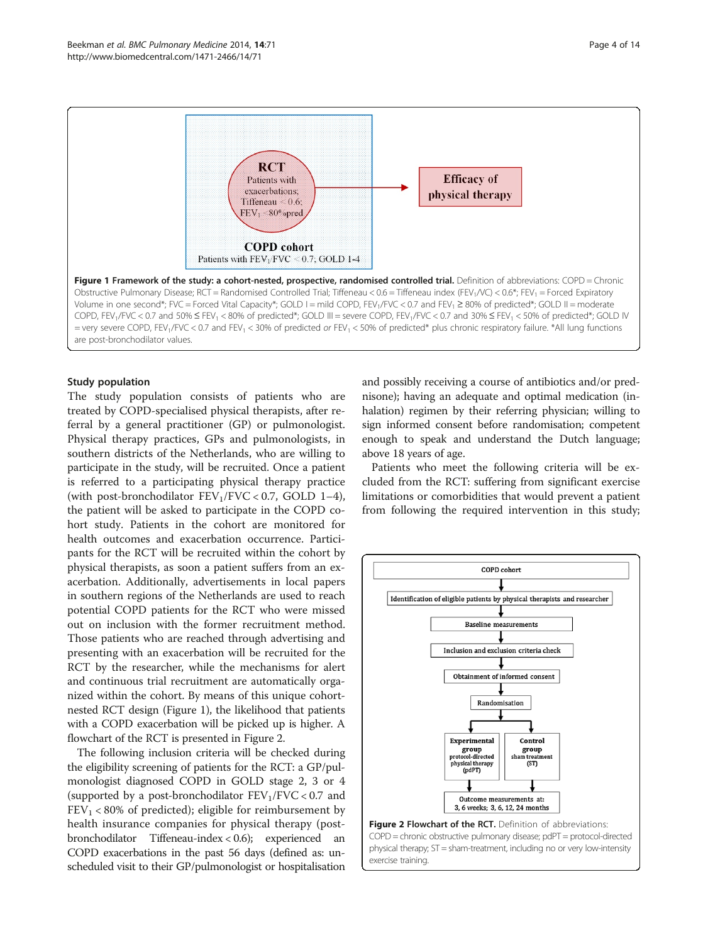<span id="page-3-0"></span>

#### Study population

The study population consists of patients who are treated by COPD-specialised physical therapists, after referral by a general practitioner (GP) or pulmonologist. Physical therapy practices, GPs and pulmonologists, in southern districts of the Netherlands, who are willing to participate in the study, will be recruited. Once a patient is referred to a participating physical therapy practice (with post-bronchodilator  $FEV<sub>1</sub>/FVC < 0.7$ , GOLD 1-4), the patient will be asked to participate in the COPD cohort study. Patients in the cohort are monitored for health outcomes and exacerbation occurrence. Participants for the RCT will be recruited within the cohort by physical therapists, as soon a patient suffers from an exacerbation. Additionally, advertisements in local papers in southern regions of the Netherlands are used to reach potential COPD patients for the RCT who were missed out on inclusion with the former recruitment method. Those patients who are reached through advertising and presenting with an exacerbation will be recruited for the RCT by the researcher, while the mechanisms for alert and continuous trial recruitment are automatically organized within the cohort. By means of this unique cohortnested RCT design (Figure 1), the likelihood that patients with a COPD exacerbation will be picked up is higher. A flowchart of the RCT is presented in Figure 2.

The following inclusion criteria will be checked during the eligibility screening of patients for the RCT: a GP/pulmonologist diagnosed COPD in GOLD stage 2, 3 or 4 (supported by a post-bronchodilator  $FEV<sub>1</sub>/FVC < 0.7$  and  $FEV<sub>1</sub> < 80%$  of predicted); eligible for reimbursement by health insurance companies for physical therapy (postbronchodilator Tiffeneau-index < 0.6); experienced an COPD exacerbations in the past 56 days (defined as: unscheduled visit to their GP/pulmonologist or hospitalisation

and possibly receiving a course of antibiotics and/or prednisone); having an adequate and optimal medication (inhalation) regimen by their referring physician; willing to sign informed consent before randomisation; competent enough to speak and understand the Dutch language; above 18 years of age.

Patients who meet the following criteria will be excluded from the RCT: suffering from significant exercise limitations or comorbidities that would prevent a patient from following the required intervention in this study;

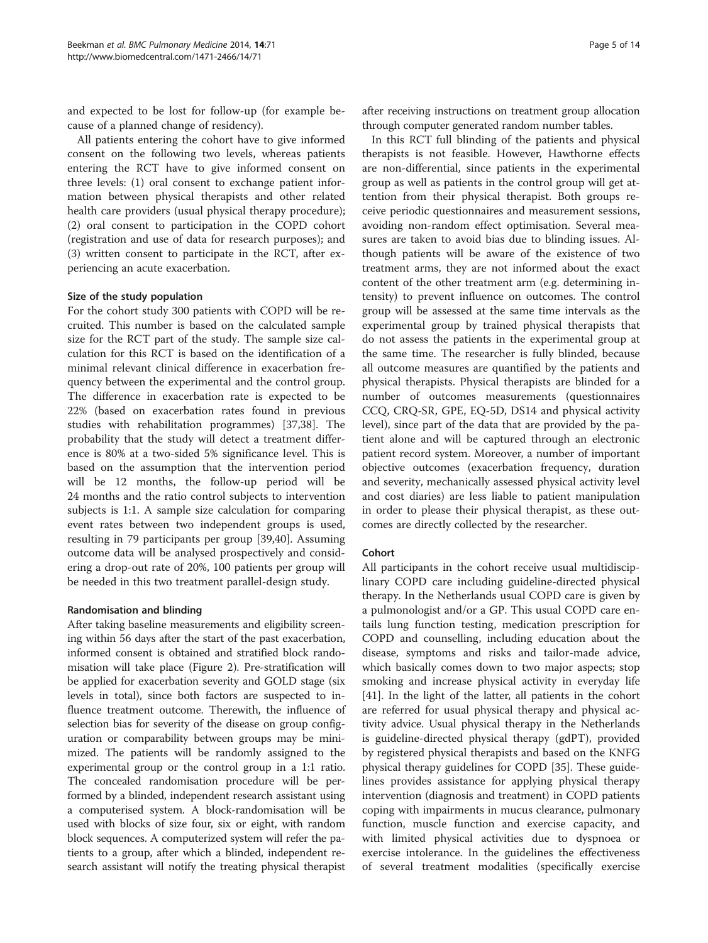and expected to be lost for follow-up (for example because of a planned change of residency).

All patients entering the cohort have to give informed consent on the following two levels, whereas patients entering the RCT have to give informed consent on three levels: (1) oral consent to exchange patient information between physical therapists and other related health care providers (usual physical therapy procedure); (2) oral consent to participation in the COPD cohort (registration and use of data for research purposes); and (3) written consent to participate in the RCT, after experiencing an acute exacerbation.

#### Size of the study population

For the cohort study 300 patients with COPD will be recruited. This number is based on the calculated sample size for the RCT part of the study. The sample size calculation for this RCT is based on the identification of a minimal relevant clinical difference in exacerbation frequency between the experimental and the control group. The difference in exacerbation rate is expected to be 22% (based on exacerbation rates found in previous studies with rehabilitation programmes) [[37,38\]](#page-12-0). The probability that the study will detect a treatment difference is 80% at a two-sided 5% significance level. This is based on the assumption that the intervention period will be 12 months, the follow-up period will be 24 months and the ratio control subjects to intervention subjects is 1:1. A sample size calculation for comparing event rates between two independent groups is used, resulting in 79 participants per group [\[39,40\]](#page-12-0). Assuming outcome data will be analysed prospectively and considering a drop-out rate of 20%, 100 patients per group will be needed in this two treatment parallel-design study.

# Randomisation and blinding

After taking baseline measurements and eligibility screening within 56 days after the start of the past exacerbation, informed consent is obtained and stratified block randomisation will take place (Figure [2](#page-3-0)). Pre-stratification will be applied for exacerbation severity and GOLD stage (six levels in total), since both factors are suspected to influence treatment outcome. Therewith, the influence of selection bias for severity of the disease on group configuration or comparability between groups may be minimized. The patients will be randomly assigned to the experimental group or the control group in a 1:1 ratio. The concealed randomisation procedure will be performed by a blinded, independent research assistant using a computerised system. A block-randomisation will be used with blocks of size four, six or eight, with random block sequences. A computerized system will refer the patients to a group, after which a blinded, independent research assistant will notify the treating physical therapist

after receiving instructions on treatment group allocation through computer generated random number tables.

In this RCT full blinding of the patients and physical therapists is not feasible. However, Hawthorne effects are non-differential, since patients in the experimental group as well as patients in the control group will get attention from their physical therapist. Both groups receive periodic questionnaires and measurement sessions, avoiding non-random effect optimisation. Several measures are taken to avoid bias due to blinding issues. Although patients will be aware of the existence of two treatment arms, they are not informed about the exact content of the other treatment arm (e.g. determining intensity) to prevent influence on outcomes. The control group will be assessed at the same time intervals as the experimental group by trained physical therapists that do not assess the patients in the experimental group at the same time. The researcher is fully blinded, because all outcome measures are quantified by the patients and physical therapists. Physical therapists are blinded for a number of outcomes measurements (questionnaires CCQ, CRQ-SR, GPE, EQ-5D, DS14 and physical activity level), since part of the data that are provided by the patient alone and will be captured through an electronic patient record system. Moreover, a number of important objective outcomes (exacerbation frequency, duration and severity, mechanically assessed physical activity level and cost diaries) are less liable to patient manipulation in order to please their physical therapist, as these outcomes are directly collected by the researcher.

# Cohort

All participants in the cohort receive usual multidisciplinary COPD care including guideline-directed physical therapy. In the Netherlands usual COPD care is given by a pulmonologist and/or a GP. This usual COPD care entails lung function testing, medication prescription for COPD and counselling, including education about the disease, symptoms and risks and tailor-made advice, which basically comes down to two major aspects; stop smoking and increase physical activity in everyday life [[41\]](#page-12-0). In the light of the latter, all patients in the cohort are referred for usual physical therapy and physical activity advice. Usual physical therapy in the Netherlands is guideline-directed physical therapy (gdPT), provided by registered physical therapists and based on the KNFG physical therapy guidelines for COPD [[35\]](#page-12-0). These guidelines provides assistance for applying physical therapy intervention (diagnosis and treatment) in COPD patients coping with impairments in mucus clearance, pulmonary function, muscle function and exercise capacity, and with limited physical activities due to dyspnoea or exercise intolerance. In the guidelines the effectiveness of several treatment modalities (specifically exercise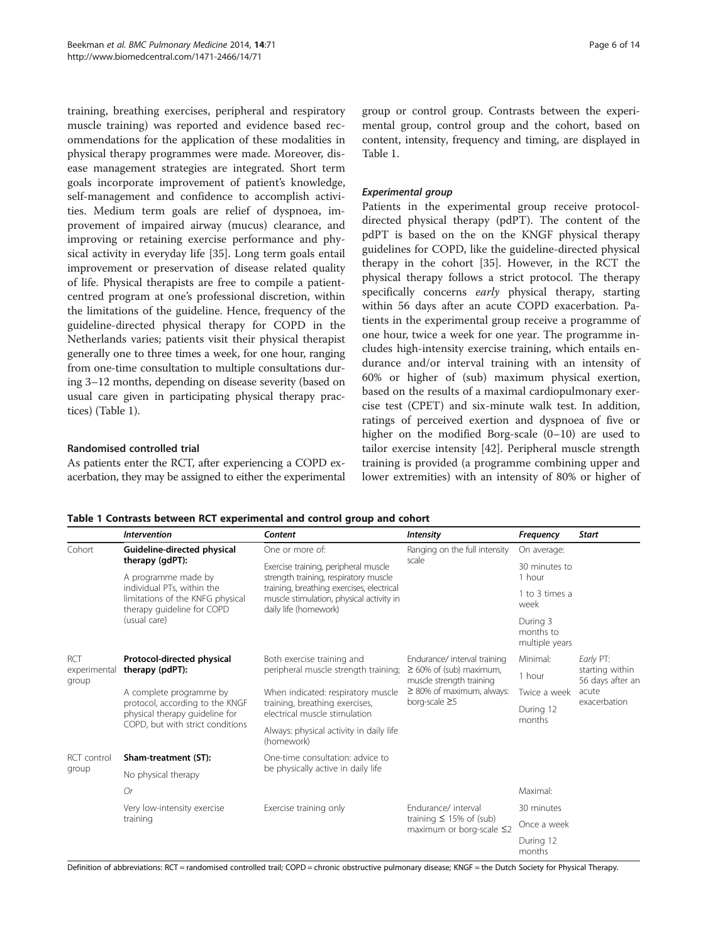training, breathing exercises, peripheral and respiratory muscle training) was reported and evidence based recommendations for the application of these modalities in physical therapy programmes were made. Moreover, disease management strategies are integrated. Short term goals incorporate improvement of patient's knowledge, self-management and confidence to accomplish activities. Medium term goals are relief of dyspnoea, improvement of impaired airway (mucus) clearance, and improving or retaining exercise performance and physical activity in everyday life [[35\]](#page-12-0). Long term goals entail improvement or preservation of disease related quality of life. Physical therapists are free to compile a patientcentred program at one's professional discretion, within the limitations of the guideline. Hence, frequency of the guideline-directed physical therapy for COPD in the Netherlands varies; patients visit their physical therapist generally one to three times a week, for one hour, ranging from one-time consultation to multiple consultations during 3–12 months, depending on disease severity (based on usual care given in participating physical therapy practices) (Table 1).

#### Randomised controlled trial

As patients enter the RCT, after experiencing a COPD exacerbation, they may be assigned to either the experimental

group or control group. Contrasts between the experimental group, control group and the cohort, based on content, intensity, frequency and timing, are displayed in Table 1.

#### Experimental group

Patients in the experimental group receive protocoldirected physical therapy (pdPT). The content of the pdPT is based on the on the KNGF physical therapy guidelines for COPD, like the guideline-directed physical therapy in the cohort [[35](#page-12-0)]. However, in the RCT the physical therapy follows a strict protocol. The therapy specifically concerns early physical therapy, starting within 56 days after an acute COPD exacerbation. Patients in the experimental group receive a programme of one hour, twice a week for one year. The programme includes high-intensity exercise training, which entails endurance and/or interval training with an intensity of 60% or higher of (sub) maximum physical exertion, based on the results of a maximal cardiopulmonary exercise test (CPET) and six-minute walk test. In addition, ratings of perceived exertion and dyspnoea of five or higher on the modified Borg-scale (0–10) are used to tailor exercise intensity [\[42\]](#page-12-0). Peripheral muscle strength training is provided (a programme combining upper and lower extremities) with an intensity of 80% or higher of

Table 1 Contrasts between RCT experimental and control group and cohort

|                                     | <b>Intervention</b>                                                                                                              | Content                                                                                                                                                                                         | <b>Intensity</b>                                                                                                                                   | Frequency                               | <b>Start</b>                                                              |
|-------------------------------------|----------------------------------------------------------------------------------------------------------------------------------|-------------------------------------------------------------------------------------------------------------------------------------------------------------------------------------------------|----------------------------------------------------------------------------------------------------------------------------------------------------|-----------------------------------------|---------------------------------------------------------------------------|
| Cohort                              | Guideline-directed physical                                                                                                      | One or more of:                                                                                                                                                                                 | Ranging on the full intensity<br>scale                                                                                                             | On average:                             |                                                                           |
|                                     | therapy (gdPT):<br>A programme made by                                                                                           | Exercise training, peripheral muscle<br>strength training, respiratory muscle<br>training, breathing exercises, electrical<br>muscle stimulation, physical activity in<br>daily life (homework) |                                                                                                                                                    | 30 minutes to<br>1 hour                 |                                                                           |
|                                     | individual PTs, within the<br>limitations of the KNFG physical<br>therapy guideline for COPD<br>(usual care)                     |                                                                                                                                                                                                 |                                                                                                                                                    | 1 to 3 times a<br>week                  |                                                                           |
|                                     |                                                                                                                                  |                                                                                                                                                                                                 |                                                                                                                                                    | During 3<br>months to<br>multiple years |                                                                           |
| <b>RCT</b><br>experimental<br>group | Protocol-directed physical                                                                                                       | Both exercise training and<br>peripheral muscle strength training;                                                                                                                              | Endurance/ interval training<br>$\geq 60\%$ of (sub) maximum,<br>muscle strength training<br>$\geq$ 80% of maximum, always:<br>borg-scale $\geq$ 5 | Minimal:                                | Early PT:<br>starting within<br>56 days after an<br>acute<br>exacerbation |
|                                     | therapy (pdPT):                                                                                                                  |                                                                                                                                                                                                 |                                                                                                                                                    | 1 hour                                  |                                                                           |
|                                     | A complete programme by<br>protocol, according to the KNGF<br>physical therapy guideline for<br>COPD, but with strict conditions | When indicated: respiratory muscle<br>training, breathing exercises,<br>electrical muscle stimulation                                                                                           |                                                                                                                                                    | Twice a week                            |                                                                           |
|                                     |                                                                                                                                  |                                                                                                                                                                                                 |                                                                                                                                                    | During 12<br>months                     |                                                                           |
|                                     |                                                                                                                                  | Always: physical activity in daily life<br>(homework)                                                                                                                                           |                                                                                                                                                    |                                         |                                                                           |
| <b>RCT</b> control<br>group         | Sham-treatment (ST):                                                                                                             | One-time consultation: advice to<br>be physically active in daily life                                                                                                                          |                                                                                                                                                    |                                         |                                                                           |
|                                     | No physical therapy                                                                                                              |                                                                                                                                                                                                 |                                                                                                                                                    |                                         |                                                                           |
|                                     | 0r                                                                                                                               |                                                                                                                                                                                                 |                                                                                                                                                    | Maximal:                                |                                                                           |
|                                     | Very low-intensity exercise<br>training                                                                                          | Exercise training only                                                                                                                                                                          | Endurance/ interval<br>training $\leq$ 15% of (sub)<br>maximum or borg-scale $\leq$ 2                                                              | 30 minutes                              |                                                                           |
|                                     |                                                                                                                                  |                                                                                                                                                                                                 |                                                                                                                                                    | Once a week                             |                                                                           |
|                                     |                                                                                                                                  |                                                                                                                                                                                                 |                                                                                                                                                    | During 12<br>months                     |                                                                           |

Definition of abbreviations: RCT = randomised controlled trail; COPD = chronic obstructive pulmonary disease; KNGF = the Dutch Society for Physical Therapy.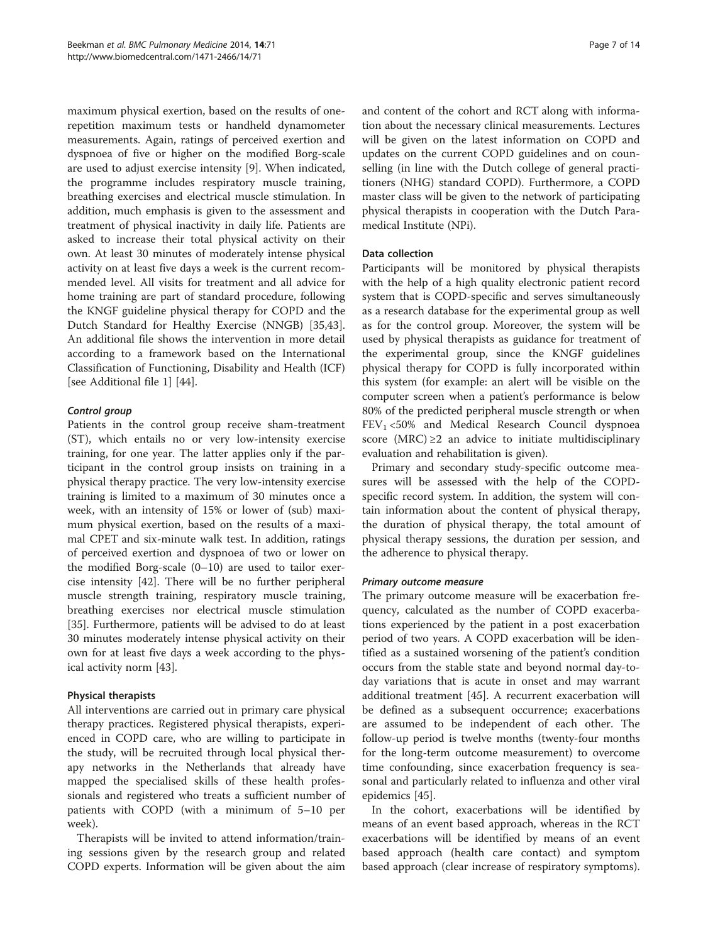maximum physical exertion, based on the results of onerepetition maximum tests or handheld dynamometer measurements. Again, ratings of perceived exertion and dyspnoea of five or higher on the modified Borg-scale are used to adjust exercise intensity [[9](#page-11-0)]. When indicated, the programme includes respiratory muscle training, breathing exercises and electrical muscle stimulation. In addition, much emphasis is given to the assessment and treatment of physical inactivity in daily life. Patients are asked to increase their total physical activity on their own. At least 30 minutes of moderately intense physical activity on at least five days a week is the current recommended level. All visits for treatment and all advice for home training are part of standard procedure, following the KNGF guideline physical therapy for COPD and the Dutch Standard for Healthy Exercise (NNGB) [\[35,43](#page-12-0)]. An additional file shows the intervention in more detail according to a framework based on the International Classification of Functioning, Disability and Health (ICF) [see Additional file [1\]](#page-11-0) [[44\]](#page-12-0).

# Control group

Patients in the control group receive sham-treatment (ST), which entails no or very low-intensity exercise training, for one year. The latter applies only if the participant in the control group insists on training in a physical therapy practice. The very low-intensity exercise training is limited to a maximum of 30 minutes once a week, with an intensity of 15% or lower of (sub) maximum physical exertion, based on the results of a maximal CPET and six-minute walk test. In addition, ratings of perceived exertion and dyspnoea of two or lower on the modified Borg-scale (0–10) are used to tailor exercise intensity [\[42\]](#page-12-0). There will be no further peripheral muscle strength training, respiratory muscle training, breathing exercises nor electrical muscle stimulation [[35\]](#page-12-0). Furthermore, patients will be advised to do at least 30 minutes moderately intense physical activity on their own for at least five days a week according to the physical activity norm [\[43\]](#page-12-0).

# Physical therapists

All interventions are carried out in primary care physical therapy practices. Registered physical therapists, experienced in COPD care, who are willing to participate in the study, will be recruited through local physical therapy networks in the Netherlands that already have mapped the specialised skills of these health professionals and registered who treats a sufficient number of patients with COPD (with a minimum of 5–10 per week).

Therapists will be invited to attend information/training sessions given by the research group and related COPD experts. Information will be given about the aim

and content of the cohort and RCT along with information about the necessary clinical measurements. Lectures will be given on the latest information on COPD and updates on the current COPD guidelines and on counselling (in line with the Dutch college of general practitioners (NHG) standard COPD). Furthermore, a COPD master class will be given to the network of participating physical therapists in cooperation with the Dutch Paramedical Institute (NPi).

# Data collection

Participants will be monitored by physical therapists with the help of a high quality electronic patient record system that is COPD-specific and serves simultaneously as a research database for the experimental group as well as for the control group. Moreover, the system will be used by physical therapists as guidance for treatment of the experimental group, since the KNGF guidelines physical therapy for COPD is fully incorporated within this system (for example: an alert will be visible on the computer screen when a patient's performance is below 80% of the predicted peripheral muscle strength or when  $FEV<sub>1</sub> < 50%$  and Medical Research Council dyspnoea score (MRC)  $\geq$  2 an advice to initiate multidisciplinary evaluation and rehabilitation is given).

Primary and secondary study-specific outcome measures will be assessed with the help of the COPDspecific record system. In addition, the system will contain information about the content of physical therapy, the duration of physical therapy, the total amount of physical therapy sessions, the duration per session, and the adherence to physical therapy.

# Primary outcome measure

The primary outcome measure will be exacerbation frequency, calculated as the number of COPD exacerbations experienced by the patient in a post exacerbation period of two years. A COPD exacerbation will be identified as a sustained worsening of the patient's condition occurs from the stable state and beyond normal day-today variations that is acute in onset and may warrant additional treatment [\[45](#page-12-0)]. A recurrent exacerbation will be defined as a subsequent occurrence; exacerbations are assumed to be independent of each other. The follow-up period is twelve months (twenty-four months for the long-term outcome measurement) to overcome time confounding, since exacerbation frequency is seasonal and particularly related to influenza and other viral epidemics [[45](#page-12-0)].

In the cohort, exacerbations will be identified by means of an event based approach, whereas in the RCT exacerbations will be identified by means of an event based approach (health care contact) and symptom based approach (clear increase of respiratory symptoms).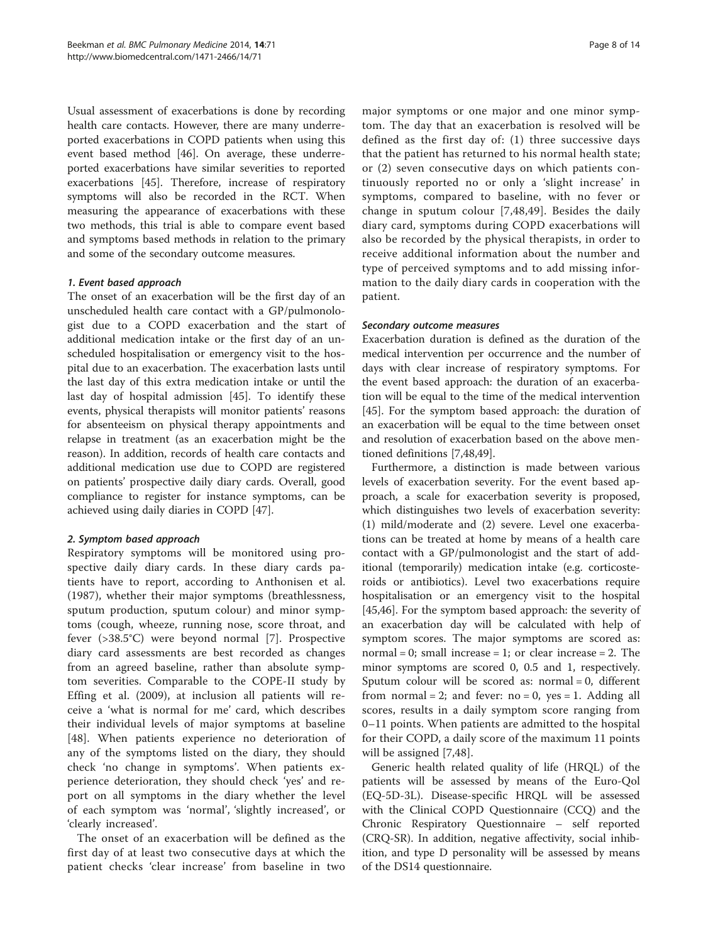Usual assessment of exacerbations is done by recording health care contacts. However, there are many underreported exacerbations in COPD patients when using this event based method [[46\]](#page-12-0). On average, these underreported exacerbations have similar severities to reported exacerbations [[45\]](#page-12-0). Therefore, increase of respiratory symptoms will also be recorded in the RCT. When measuring the appearance of exacerbations with these two methods, this trial is able to compare event based and symptoms based methods in relation to the primary and some of the secondary outcome measures.

# 1. Event based approach

The onset of an exacerbation will be the first day of an unscheduled health care contact with a GP/pulmonologist due to a COPD exacerbation and the start of additional medication intake or the first day of an unscheduled hospitalisation or emergency visit to the hospital due to an exacerbation. The exacerbation lasts until the last day of this extra medication intake or until the last day of hospital admission [[45\]](#page-12-0). To identify these events, physical therapists will monitor patients' reasons for absenteeism on physical therapy appointments and relapse in treatment (as an exacerbation might be the reason). In addition, records of health care contacts and additional medication use due to COPD are registered on patients' prospective daily diary cards. Overall, good compliance to register for instance symptoms, can be achieved using daily diaries in COPD [\[47](#page-12-0)].

# 2. Symptom based approach

Respiratory symptoms will be monitored using prospective daily diary cards. In these diary cards patients have to report, according to Anthonisen et al. (1987), whether their major symptoms (breathlessness, sputum production, sputum colour) and minor symptoms (cough, wheeze, running nose, score throat, and fever (>38.5°C) were beyond normal [[7\]](#page-11-0). Prospective diary card assessments are best recorded as changes from an agreed baseline, rather than absolute symptom severities. Comparable to the COPE-II study by Effing et al. (2009), at inclusion all patients will receive a 'what is normal for me' card, which describes their individual levels of major symptoms at baseline [[48\]](#page-12-0). When patients experience no deterioration of any of the symptoms listed on the diary, they should check 'no change in symptoms'. When patients experience deterioration, they should check 'yes' and report on all symptoms in the diary whether the level of each symptom was 'normal', 'slightly increased', or 'clearly increased'.

The onset of an exacerbation will be defined as the first day of at least two consecutive days at which the patient checks 'clear increase' from baseline in two

major symptoms or one major and one minor symptom. The day that an exacerbation is resolved will be defined as the first day of: (1) three successive days that the patient has returned to his normal health state; or (2) seven consecutive days on which patients continuously reported no or only a 'slight increase' in symptoms, compared to baseline, with no fever or change in sputum colour [\[7](#page-11-0),[48,49](#page-12-0)]. Besides the daily diary card, symptoms during COPD exacerbations will also be recorded by the physical therapists, in order to receive additional information about the number and type of perceived symptoms and to add missing information to the daily diary cards in cooperation with the patient.

# Secondary outcome measures

Exacerbation duration is defined as the duration of the medical intervention per occurrence and the number of days with clear increase of respiratory symptoms. For the event based approach: the duration of an exacerbation will be equal to the time of the medical intervention [[45\]](#page-12-0). For the symptom based approach: the duration of an exacerbation will be equal to the time between onset and resolution of exacerbation based on the above mentioned definitions [[7,](#page-11-0)[48,49\]](#page-12-0).

Furthermore, a distinction is made between various levels of exacerbation severity. For the event based approach, a scale for exacerbation severity is proposed, which distinguishes two levels of exacerbation severity: (1) mild/moderate and (2) severe. Level one exacerbations can be treated at home by means of a health care contact with a GP/pulmonologist and the start of additional (temporarily) medication intake (e.g. corticosteroids or antibiotics). Level two exacerbations require hospitalisation or an emergency visit to the hospital [[45,46\]](#page-12-0). For the symptom based approach: the severity of an exacerbation day will be calculated with help of symptom scores. The major symptoms are scored as: normal = 0; small increase = 1; or clear increase = 2. The minor symptoms are scored 0, 0.5 and 1, respectively. Sputum colour will be scored as: normal = 0, different from normal = 2; and fever:  $no = 0$ ,  $yes = 1$ . Adding all scores, results in a daily symptom score ranging from 0–11 points. When patients are admitted to the hospital for their COPD, a daily score of the maximum 11 points will be assigned [[7,](#page-11-0)[48\]](#page-12-0).

Generic health related quality of life (HRQL) of the patients will be assessed by means of the Euro-Qol (EQ-5D-3L). Disease-specific HRQL will be assessed with the Clinical COPD Questionnaire (CCQ) and the Chronic Respiratory Questionnaire – self reported (CRQ-SR). In addition, negative affectivity, social inhibition, and type D personality will be assessed by means of the DS14 questionnaire.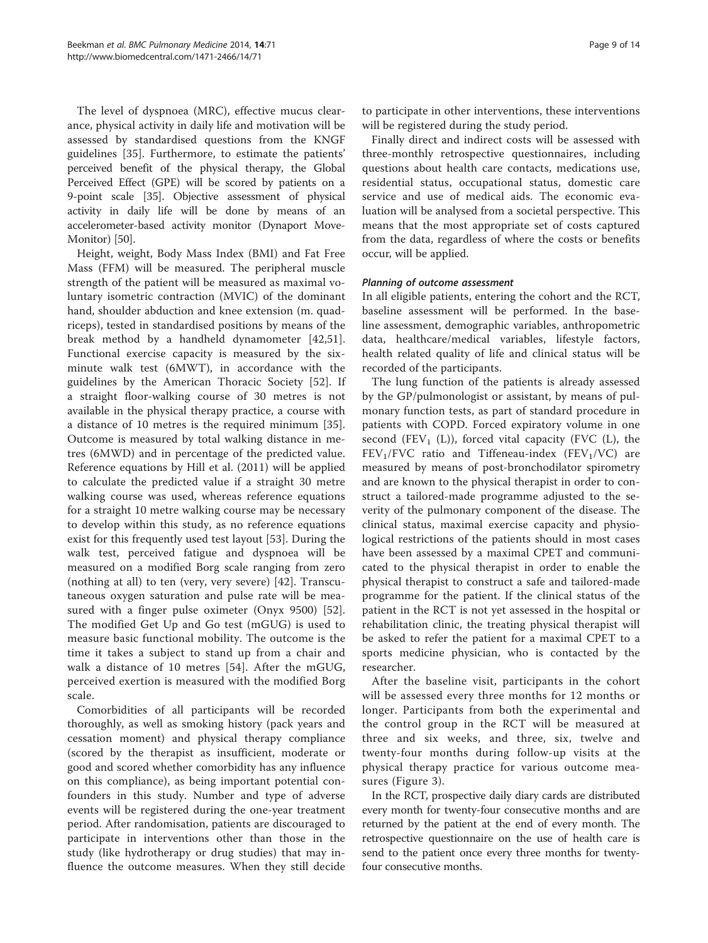The level of dyspnoea (MRC), effective mucus clearance, physical activity in daily life and motivation will be assessed by standardised questions from the KNGF guidelines [\[35](#page-12-0)]. Furthermore, to estimate the patients' perceived benefit of the physical therapy, the Global Perceived Effect (GPE) will be scored by patients on a 9-point scale [\[35](#page-12-0)]. Objective assessment of physical activity in daily life will be done by means of an accelerometer-based activity monitor (Dynaport Move-Monitor) [\[50\]](#page-12-0).

Height, weight, Body Mass Index (BMI) and Fat Free Mass (FFM) will be measured. The peripheral muscle strength of the patient will be measured as maximal voluntary isometric contraction (MVIC) of the dominant hand, shoulder abduction and knee extension (m. quadriceps), tested in standardised positions by means of the break method by a handheld dynamometer [[42,51](#page-12-0)]. Functional exercise capacity is measured by the sixminute walk test (6MWT), in accordance with the guidelines by the American Thoracic Society [[52\]](#page-12-0). If a straight floor-walking course of 30 metres is not available in the physical therapy practice, a course with a distance of 10 metres is the required minimum [\[35](#page-12-0)]. Outcome is measured by total walking distance in metres (6MWD) and in percentage of the predicted value. Reference equations by Hill et al. (2011) will be applied to calculate the predicted value if a straight 30 metre walking course was used, whereas reference equations for a straight 10 metre walking course may be necessary to develop within this study, as no reference equations exist for this frequently used test layout [[53](#page-12-0)]. During the walk test, perceived fatigue and dyspnoea will be measured on a modified Borg scale ranging from zero (nothing at all) to ten (very, very severe) [[42\]](#page-12-0). Transcutaneous oxygen saturation and pulse rate will be measured with a finger pulse oximeter (Onyx 9500) [\[52](#page-12-0)]. The modified Get Up and Go test (mGUG) is used to measure basic functional mobility. The outcome is the time it takes a subject to stand up from a chair and walk a distance of 10 metres [[54](#page-13-0)]. After the mGUG, perceived exertion is measured with the modified Borg scale.

Comorbidities of all participants will be recorded thoroughly, as well as smoking history (pack years and cessation moment) and physical therapy compliance (scored by the therapist as insufficient, moderate or good and scored whether comorbidity has any influence on this compliance), as being important potential confounders in this study. Number and type of adverse events will be registered during the one-year treatment period. After randomisation, patients are discouraged to participate in interventions other than those in the study (like hydrotherapy or drug studies) that may influence the outcome measures. When they still decide

to participate in other interventions, these interventions will be registered during the study period.

Finally direct and indirect costs will be assessed with three-monthly retrospective questionnaires, including questions about health care contacts, medications use, residential status, occupational status, domestic care service and use of medical aids. The economic evaluation will be analysed from a societal perspective. This means that the most appropriate set of costs captured from the data, regardless of where the costs or benefits occur, will be applied.

#### Planning of outcome assessment

In all eligible patients, entering the cohort and the RCT, baseline assessment will be performed. In the baseline assessment, demographic variables, anthropometric data, healthcare/medical variables, lifestyle factors, health related quality of life and clinical status will be recorded of the participants.

The lung function of the patients is already assessed by the GP/pulmonologist or assistant, by means of pulmonary function tests, as part of standard procedure in patients with COPD. Forced expiratory volume in one second (FEV<sub>1</sub> (L)), forced vital capacity (FVC (L), the  $FEV<sub>1</sub>/FVC$  ratio and Tiffeneau-index ( $FEV<sub>1</sub>/VC$ ) are measured by means of post-bronchodilator spirometry and are known to the physical therapist in order to construct a tailored-made programme adjusted to the severity of the pulmonary component of the disease. The clinical status, maximal exercise capacity and physiological restrictions of the patients should in most cases have been assessed by a maximal CPET and communicated to the physical therapist in order to enable the physical therapist to construct a safe and tailored-made programme for the patient. If the clinical status of the patient in the RCT is not yet assessed in the hospital or rehabilitation clinic, the treating physical therapist will be asked to refer the patient for a maximal CPET to a sports medicine physician, who is contacted by the researcher.

After the baseline visit, participants in the cohort will be assessed every three months for 12 months or longer. Participants from both the experimental and the control group in the RCT will be measured at three and six weeks, and three, six, twelve and twenty-four months during follow-up visits at the physical therapy practice for various outcome measures (Figure [3\)](#page-9-0).

In the RCT, prospective daily diary cards are distributed every month for twenty-four consecutive months and are returned by the patient at the end of every month. The retrospective questionnaire on the use of health care is send to the patient once every three months for twentyfour consecutive months.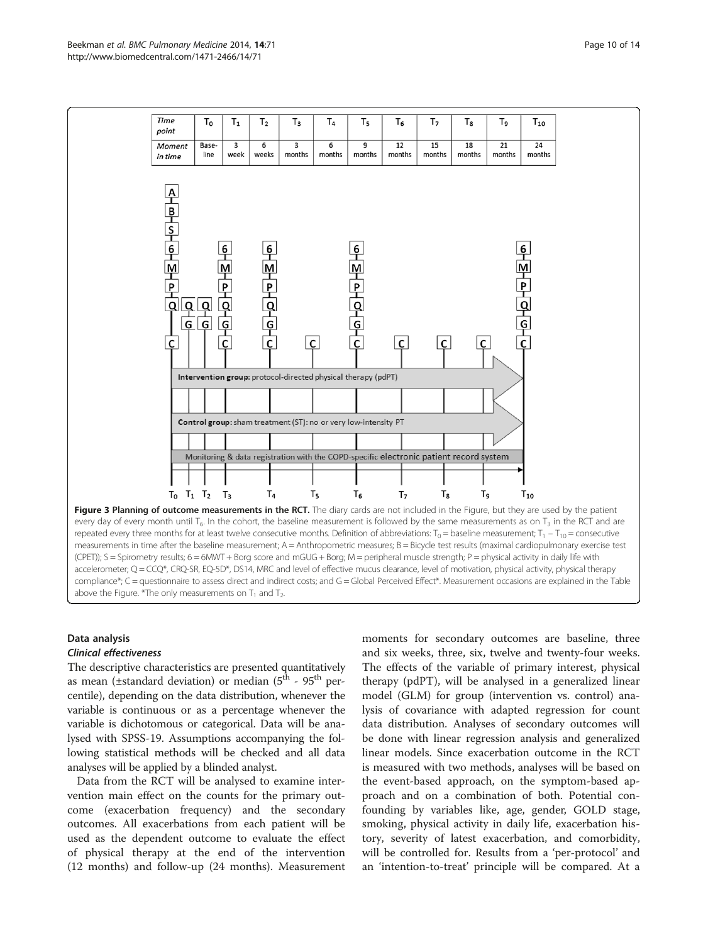<span id="page-9-0"></span>

#### Data analysis

#### Clinical effectiveness

The descriptive characteristics are presented quantitatively as mean ( $\pm$ standard deviation) or median ( $5^{\text{th}}$  -  $95^{\text{th}}$  percentile), depending on the data distribution, whenever the variable is continuous or as a percentage whenever the variable is dichotomous or categorical. Data will be analysed with SPSS-19. Assumptions accompanying the following statistical methods will be checked and all data analyses will be applied by a blinded analyst.

Data from the RCT will be analysed to examine intervention main effect on the counts for the primary outcome (exacerbation frequency) and the secondary outcomes. All exacerbations from each patient will be used as the dependent outcome to evaluate the effect of physical therapy at the end of the intervention (12 months) and follow-up (24 months). Measurement moments for secondary outcomes are baseline, three and six weeks, three, six, twelve and twenty-four weeks. The effects of the variable of primary interest, physical therapy (pdPT), will be analysed in a generalized linear model (GLM) for group (intervention vs. control) analysis of covariance with adapted regression for count data distribution. Analyses of secondary outcomes will be done with linear regression analysis and generalized linear models. Since exacerbation outcome in the RCT is measured with two methods, analyses will be based on the event-based approach, on the symptom-based approach and on a combination of both. Potential confounding by variables like, age, gender, GOLD stage, smoking, physical activity in daily life, exacerbation history, severity of latest exacerbation, and comorbidity, will be controlled for. Results from a 'per-protocol' and an 'intention-to-treat' principle will be compared. At a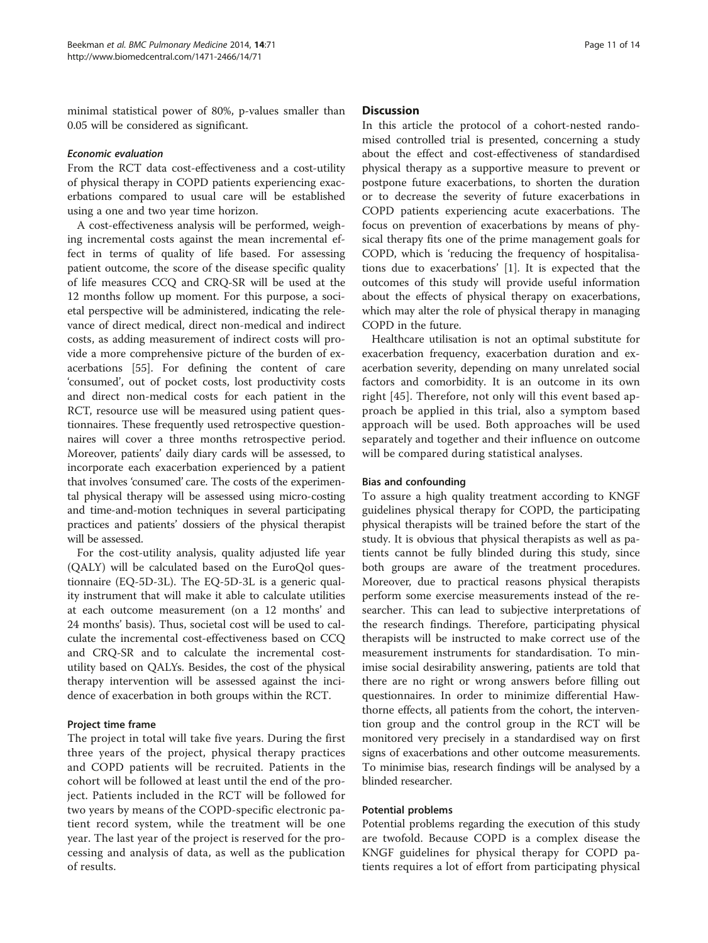minimal statistical power of 80%, p-values smaller than 0.05 will be considered as significant.

#### Economic evaluation

From the RCT data cost-effectiveness and a cost-utility of physical therapy in COPD patients experiencing exacerbations compared to usual care will be established using a one and two year time horizon.

A cost-effectiveness analysis will be performed, weighing incremental costs against the mean incremental effect in terms of quality of life based. For assessing patient outcome, the score of the disease specific quality of life measures CCQ and CRQ-SR will be used at the 12 months follow up moment. For this purpose, a societal perspective will be administered, indicating the relevance of direct medical, direct non-medical and indirect costs, as adding measurement of indirect costs will provide a more comprehensive picture of the burden of exacerbations [[55\]](#page-13-0). For defining the content of care 'consumed', out of pocket costs, lost productivity costs and direct non-medical costs for each patient in the RCT, resource use will be measured using patient questionnaires. These frequently used retrospective questionnaires will cover a three months retrospective period. Moreover, patients' daily diary cards will be assessed, to incorporate each exacerbation experienced by a patient that involves 'consumed' care. The costs of the experimental physical therapy will be assessed using micro-costing and time-and-motion techniques in several participating practices and patients' dossiers of the physical therapist will be assessed.

For the cost-utility analysis, quality adjusted life year (QALY) will be calculated based on the EuroQol questionnaire (EQ-5D-3L). The EQ-5D-3L is a generic quality instrument that will make it able to calculate utilities at each outcome measurement (on a 12 months' and 24 months' basis). Thus, societal cost will be used to calculate the incremental cost-effectiveness based on CCQ and CRQ-SR and to calculate the incremental costutility based on QALYs. Besides, the cost of the physical therapy intervention will be assessed against the incidence of exacerbation in both groups within the RCT.

# Project time frame

The project in total will take five years. During the first three years of the project, physical therapy practices and COPD patients will be recruited. Patients in the cohort will be followed at least until the end of the project. Patients included in the RCT will be followed for two years by means of the COPD-specific electronic patient record system, while the treatment will be one year. The last year of the project is reserved for the processing and analysis of data, as well as the publication of results.

#### **Discussion**

In this article the protocol of a cohort-nested randomised controlled trial is presented, concerning a study about the effect and cost-effectiveness of standardised physical therapy as a supportive measure to prevent or postpone future exacerbations, to shorten the duration or to decrease the severity of future exacerbations in COPD patients experiencing acute exacerbations. The focus on prevention of exacerbations by means of physical therapy fits one of the prime management goals for COPD, which is 'reducing the frequency of hospitalisations due to exacerbations' [\[1](#page-11-0)]. It is expected that the outcomes of this study will provide useful information about the effects of physical therapy on exacerbations, which may alter the role of physical therapy in managing COPD in the future.

Healthcare utilisation is not an optimal substitute for exacerbation frequency, exacerbation duration and exacerbation severity, depending on many unrelated social factors and comorbidity. It is an outcome in its own right [\[45\]](#page-12-0). Therefore, not only will this event based approach be applied in this trial, also a symptom based approach will be used. Both approaches will be used separately and together and their influence on outcome will be compared during statistical analyses.

# Bias and confounding

To assure a high quality treatment according to KNGF guidelines physical therapy for COPD, the participating physical therapists will be trained before the start of the study. It is obvious that physical therapists as well as patients cannot be fully blinded during this study, since both groups are aware of the treatment procedures. Moreover, due to practical reasons physical therapists perform some exercise measurements instead of the researcher. This can lead to subjective interpretations of the research findings. Therefore, participating physical therapists will be instructed to make correct use of the measurement instruments for standardisation. To minimise social desirability answering, patients are told that there are no right or wrong answers before filling out questionnaires. In order to minimize differential Hawthorne effects, all patients from the cohort, the intervention group and the control group in the RCT will be monitored very precisely in a standardised way on first signs of exacerbations and other outcome measurements. To minimise bias, research findings will be analysed by a blinded researcher.

# Potential problems

Potential problems regarding the execution of this study are twofold. Because COPD is a complex disease the KNGF guidelines for physical therapy for COPD patients requires a lot of effort from participating physical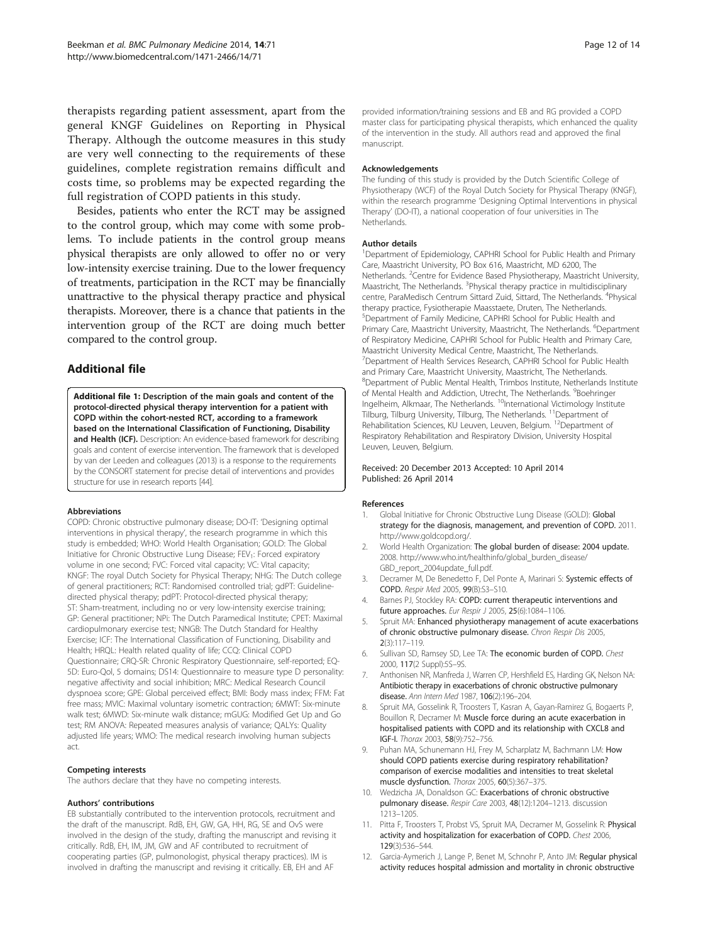<span id="page-11-0"></span>therapists regarding patient assessment, apart from the general KNGF Guidelines on Reporting in Physical Therapy. Although the outcome measures in this study are very well connecting to the requirements of these guidelines, complete registration remains difficult and costs time, so problems may be expected regarding the full registration of COPD patients in this study.

Besides, patients who enter the RCT may be assigned to the control group, which may come with some problems. To include patients in the control group means physical therapists are only allowed to offer no or very low-intensity exercise training. Due to the lower frequency of treatments, participation in the RCT may be financially unattractive to the physical therapy practice and physical therapists. Moreover, there is a chance that patients in the intervention group of the RCT are doing much better compared to the control group.

# Additional file

[Additional file 1:](http://www.biomedcentral.com/content/supplementary/1471-2466-14-71-S1.doc) Description of the main goals and content of the protocol-directed physical therapy intervention for a patient with COPD within the cohort-nested RCT, according to a framework based on the International Classification of Functioning, Disability and Health (ICF). Description: An evidence-based framework for describing goals and content of exercise intervention. The framework that is developed by van der Leeden and colleagues (2013) is a response to the requirements by the CONSORT statement for precise detail of interventions and provides structure for use in research reports [\[44](#page-12-0)].

#### Abbreviations

COPD: Chronic obstructive pulmonary disease; DO-IT: 'Designing optimal interventions in physical therapy', the research programme in which this study is embedded; WHO: World Health Organisation; GOLD: The Global Initiative for Chronic Obstructive Lung Disease; FEV<sub>1</sub>: Forced expiratory volume in one second; FVC: Forced vital capacity; VC: Vital capacity; KNGF: The royal Dutch Society for Physical Therapy; NHG: The Dutch college of general practitioners; RCT: Randomised controlled trial; gdPT: Guidelinedirected physical therapy; pdPT: Protocol-directed physical therapy; ST: Sham-treatment, including no or very low-intensity exercise training; GP: General practitioner; NPi: The Dutch Paramedical Institute; CPET: Maximal cardiopulmonary exercise test; NNGB: The Dutch Standard for Healthy Exercise; ICF: The International Classification of Functioning, Disability and Health; HRQL: Health related quality of life; CCQ: Clinical COPD Questionnaire; CRQ-SR: Chronic Respiratory Questionnaire, self-reported; EQ-5D: Euro-Qol, 5 domains; DS14: Questionnaire to measure type D personality: negative affectivity and social inhibition; MRC: Medical Research Council dyspnoea score; GPE: Global perceived effect; BMI: Body mass index; FFM: Fat free mass; MVIC: Maximal voluntary isometric contraction; 6MWT: Six-minute walk test; 6MWD: Six-minute walk distance; mGUG: Modified Get Up and Go test; RM ANOVA: Repeated measures analysis of variance; QALYs: Quality adjusted life years; WMO: The medical research involving human subjects act.

#### Competing interests

The authors declare that they have no competing interests.

#### Authors' contributions

EB substantially contributed to the intervention protocols, recruitment and the draft of the manuscript. RdB, EH, GW, GA, HH, RG, SE and OvS were involved in the design of the study, drafting the manuscript and revising it critically. RdB, EH, IM, JM, GW and AF contributed to recruitment of cooperating parties (GP, pulmonologist, physical therapy practices). IM is involved in drafting the manuscript and revising it critically. EB, EH and AF

provided information/training sessions and EB and RG provided a COPD master class for participating physical therapists, which enhanced the quality of the intervention in the study. All authors read and approved the final manuscript.

#### Acknowledgements

The funding of this study is provided by the Dutch Scientific College of Physiotherapy (WCF) of the Royal Dutch Society for Physical Therapy (KNGF), within the research programme 'Designing Optimal Interventions in physical Therapy' (DO-IT), a national cooperation of four universities in The Netherlands.

#### Author details

<sup>1</sup>Department of Epidemiology, CAPHRI School for Public Health and Primary Care, Maastricht University, PO Box 616, Maastricht, MD 6200, The Netherlands. <sup>2</sup> Centre for Evidence Based Physiotherapy, Maastricht University, Maastricht, The Netherlands. <sup>3</sup>Physical therapy practice in multidisciplinary centre, ParaMedisch Centrum Sittard Zuid, Sittard, The Netherlands. <sup>4</sup>Physical therapy practice, Fysiotherapie Maasstaete, Druten, The Netherlands. 5 Department of Family Medicine, CAPHRI School for Public Health and Primary Care, Maastricht University, Maastricht, The Netherlands. <sup>6</sup>Department of Respiratory Medicine, CAPHRI School for Public Health and Primary Care, Maastricht University Medical Centre, Maastricht, The Netherlands. <sup>7</sup>Department of Health Services Research, CAPHRI School for Public Health and Primary Care, Maastricht University, Maastricht, The Netherlands. 8 Department of Public Mental Health, Trimbos Institute, Netherlands Institute of Mental Health and Addiction, Utrecht, The Netherlands. <sup>9</sup>Boehringer Ingelheim, Alkmaar, The Netherlands. <sup>10</sup>International Victimology Institute Tilburg, Tilburg University, Tilburg, The Netherlands. 11Department of Rehabilitation Sciences, KU Leuven, Leuven, Belgium. 12Department of Respiratory Rehabilitation and Respiratory Division, University Hospital Leuven, Leuven, Belgium.

#### Received: 20 December 2013 Accepted: 10 April 2014 Published: 26 April 2014

#### References

- Global Initiative for Chronic Obstructive Lung Disease (GOLD): Global strategy for the diagnosis, management, and prevention of COPD. 2011. <http://www.goldcopd.org/>.
- World Health Organization: The global burden of disease: 2004 update. 2008. [http://www.who.int/healthinfo/global\\_burden\\_disease/](http://www.who.int/healthinfo/global_burden_disease/GBD_report_2004update_full.pdf) [GBD\\_report\\_2004update\\_full.pdf](http://www.who.int/healthinfo/global_burden_disease/GBD_report_2004update_full.pdf).
- 3. Decramer M, De Benedetto F, Del Ponte A, Marinari S: Systemic effects of COPD. Respir Med 2005, 99(B):S3–S10.
- 4. Barnes PJ, Stockley RA: COPD: current therapeutic interventions and future approaches. Eur Respir J 2005, 25(6):1084–1106.
- Spruit MA: Enhanced physiotherapy management of acute exacerbations of chronic obstructive pulmonary disease. Chron Respir Dis 2005, 2(3):117–119.
- 6. Sullivan SD, Ramsey SD, Lee TA: The economic burden of COPD. Chest 2000, 117(2 Suppl):5S–9S.
- 7. Anthonisen NR, Manfreda J, Warren CP, Hershfield ES, Harding GK, Nelson NA: Antibiotic therapy in exacerbations of chronic obstructive pulmonary disease. Ann Intern Med 1987, 106(2):196–204.
- 8. Spruit MA, Gosselink R, Troosters T, Kasran A, Gayan-Ramirez G, Bogaerts P, Bouillon R, Decramer M: Muscle force during an acute exacerbation in hospitalised patients with COPD and its relationship with CXCL8 and IGF-I. Thorax 2003, 58(9):752–756.
- 9. Puhan MA, Schunemann HJ, Frey M, Scharplatz M, Bachmann LM: How should COPD patients exercise during respiratory rehabilitation? comparison of exercise modalities and intensities to treat skeletal muscle dysfunction. Thorax 2005, 60(5):367–375.
- 10. Wedzicha JA, Donaldson GC: Exacerbations of chronic obstructive pulmonary disease. Respir Care 2003, 48(12):1204–1213. discussion 1213–1205.
- 11. Pitta F, Troosters T, Probst VS, Spruit MA, Decramer M, Gosselink R: Physical activity and hospitalization for exacerbation of COPD. Chest 2006, 129(3):536–544.
- 12. Garcia-Aymerich J, Lange P, Benet M, Schnohr P, Anto JM: Regular physical activity reduces hospital admission and mortality in chronic obstructive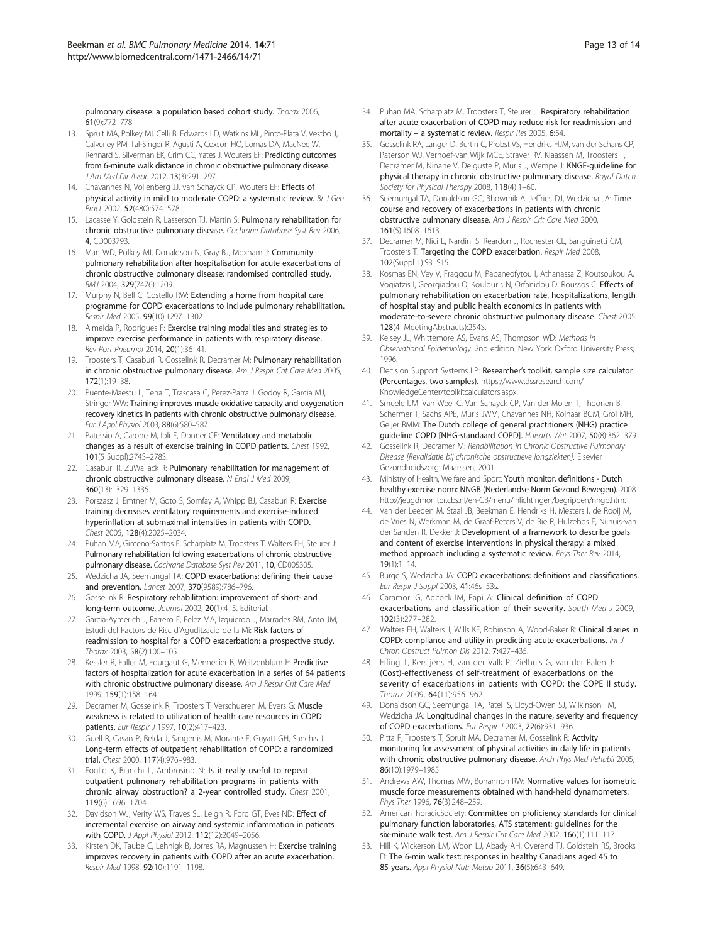<span id="page-12-0"></span>pulmonary disease: a population based cohort study. Thorax 2006, 61(9):772–778.

- 13. Spruit MA, Polkey MI, Celli B, Edwards LD, Watkins ML, Pinto-Plata V, Vestbo J, Calverley PM, Tal-Singer R, Agusti A, Coxson HO, Lomas DA, MacNee W, Rennard S, Silverman EK, Crim CC, Yates J, Wouters EF: Predicting outcomes from 6-minute walk distance in chronic obstructive pulmonary disease. J Am Med Dir Assoc 2012, 13(3):291–297.
- 14. Chavannes N, Vollenberg JJ, van Schayck CP, Wouters EF: Effects of physical activity in mild to moderate COPD: a systematic review. Br J Gen Pract 2002, 52(480):574–578.
- 15. Lacasse Y, Goldstein R, Lasserson TJ, Martin S: Pulmonary rehabilitation for chronic obstructive pulmonary disease. Cochrane Database Syst Rev 2006, 4, CD003793.
- 16. Man WD, Polkey MI, Donaldson N, Gray BJ, Moxham J: Community pulmonary rehabilitation after hospitalisation for acute exacerbations of chronic obstructive pulmonary disease: randomised controlled study. BMJ 2004, 329(7476):1209.
- 17. Murphy N, Bell C, Costello RW: Extending a home from hospital care programme for COPD exacerbations to include pulmonary rehabilitation. Respir Med 2005, 99(10):1297–1302.
- 18. Almeida P, Rodrigues F: Exercise training modalities and strategies to improve exercise performance in patients with respiratory disease. Rev Port Pneumol 2014, 20(1):36–41.
- 19. Troosters T, Casaburi R, Gosselink R, Decramer M: Pulmonary rehabilitation in chronic obstructive pulmonary disease. Am J Respir Crit Care Med 2005, 172(1):19–38.
- 20. Puente-Maestu L, Tena T, Trascasa C, Perez-Parra J, Godoy R, Garcia MJ, Stringer WW: Training improves muscle oxidative capacity and oxygenation recovery kinetics in patients with chronic obstructive pulmonary disease. Eur J Appl Physiol 2003, 88(6):580–587.
- 21. Patessio A, Carone M, Ioli F, Donner CF: Ventilatory and metabolic changes as a result of exercise training in COPD patients. Chest 1992, 101(5 Suppl):274S–278S.
- 22. Casaburi R, ZuWallack R: Pulmonary rehabilitation for management of chronic obstructive pulmonary disease. N Engl J Med 2009, 360(13):1329–1335.
- 23. Porszasz J, Emtner M, Goto S, Somfay A, Whipp BJ, Casaburi R: Exercise training decreases ventilatory requirements and exercise-induced hyperinflation at submaximal intensities in patients with COPD. Chest 2005, 128(4):2025–2034.
- 24. Puhan MA, Gimeno-Santos E, Scharplatz M, Troosters T, Walters EH, Steurer J: Pulmonary rehabilitation following exacerbations of chronic obstructive pulmonary disease. Cochrane Database Syst Rev 2011, 10, CD005305.
- 25. Wedzicha JA, Seemungal TA: COPD exacerbations: defining their cause and prevention. Lancet 2007, 370(9589):786–796.
- 26. Gosselink R: Respiratory rehabilitation: improvement of short- and long-term outcome. Journal 2002, 20(1):4–5. Editorial.
- 27. Garcia-Aymerich J, Farrero E, Felez MA, Izquierdo J, Marrades RM, Anto JM, Estudi del Factors de Risc d'Aguditzacio de la Mi: Risk factors of readmission to hospital for a COPD exacerbation: a prospective study. Thorax 2003, 58(2):100–105.
- 28. Kessler R, Faller M, Fourgaut G, Mennecier B, Weitzenblum E: Predictive factors of hospitalization for acute exacerbation in a series of 64 patients with chronic obstructive pulmonary disease. Am J Respir Crit Care Med 1999, 159(1):158–164.
- 29. Decramer M, Gosselink R, Troosters T, Verschueren M, Evers G: Muscle weakness is related to utilization of health care resources in COPD patients. Eur Respir J 1997, 10(2):417–423.
- 30. Guell R, Casan P, Belda J, Sangenis M, Morante F, Guyatt GH, Sanchis J: Long-term effects of outpatient rehabilitation of COPD: a randomized trial. Chest 2000, 117(4):976–983.
- 31. Foglio K, Bianchi L, Ambrosino N: Is it really useful to repeat outpatient pulmonary rehabilitation programs in patients with chronic airway obstruction? a 2-year controlled study. Chest 2001, 119(6):1696–1704.
- 32. Davidson WJ, Verity WS, Traves SL, Leigh R, Ford GT, Eves ND: Effect of incremental exercise on airway and systemic inflammation in patients with COPD. J Appl Physiol 2012, 112(12):2049–2056.
- 33. Kirsten DK, Taube C, Lehnigk B, Jorres RA, Magnussen H: Exercise training improves recovery in patients with COPD after an acute exacerbation. Respir Med 1998, 92(10):1191–1198.
- 34. Puhan MA, Scharplatz M, Troosters T, Steurer J: Respiratory rehabilitation after acute exacerbation of COPD may reduce risk for readmission and mortality – a systematic review. Respir Res 2005, 6:54.
- 35. Gosselink RA, Langer D, Burtin C, Probst VS, Hendriks HJM, van der Schans CP, Paterson WJ, Verhoef-van Wijk MCE, Straver RV, Klaassen M, Troosters T, Decramer M, Ninane V, Delguste P, Muris J, Wempe J: KNGF-guideline for physical therapy in chronic obstructive pulmonary disease. Royal Dutch Society for Physical Therapy 2008, 118(4):1-60.
- 36. Seemungal TA, Donaldson GC, Bhowmik A, Jeffries DJ, Wedzicha JA: Time course and recovery of exacerbations in patients with chronic obstructive pulmonary disease. Am J Respir Crit Care Med 2000, 161(5):1608–1613.
- 37. Decramer M, Nici L, Nardini S, Reardon J, Rochester CL, Sanguinetti CM, Troosters T: Targeting the COPD exacerbation. Respir Med 2008, 102(Suppl 1):S3–S15.
- 38. Kosmas EN, Vey V, Fraggou M, Papaneofytou I, Athanassa Z, Koutsoukou A, Vogiatzis I, Georgiadou O, Koulouris N, Orfanidou D, Roussos C: Effects of pulmonary rehabilitation on exacerbation rate, hospitalizations, length of hospital stay and public health economics in patients with moderate-to-severe chronic obstructive pulmonary disease. Chest 2005, 128(4 MeetingAbstracts):254S.
- 39. Kelsey JL, Whittemore AS, Evans AS, Thompson WD: Methods in Observational Epidemiology. 2nd edition. New York: Oxford University Press; 1996.
- 40. Decision Support Systems LP: Researcher's toolkit, sample size calculator (Percentages, two samples). [https://www.dssresearch.com/](https://www.dssresearch.com/KnowledgeCenter/toolkitcalculators.aspx) [KnowledgeCenter/toolkitcalculators.aspx.](https://www.dssresearch.com/KnowledgeCenter/toolkitcalculators.aspx)
- 41. Smeele IJM, Van Weel C, Van Schayck CP, Van der Molen T, Thoonen B, Schermer T, Sachs APE, Muris JWM, Chavannes NH, Kolnaar BGM, Grol MH, Geijer RMM: The Dutch college of general practitioners (NHG) practice guideline COPD [NHG-standaard COPD]. Huisarts Wet 2007, 50(8):362–379.
- 42. Gosselink R, Decramer M: Rehabilitation in Chronic Obstructive Pulmonary Disease [Revalidatie bij chronische obstructieve longziekten]. Elsevier Gezondheidszorg: Maarssen; 2001.
- 43. Ministry of Health, Welfare and Sport: Youth monitor, definitions Dutch healthy exercise norm: NNGB (Nederlandse Norm Gezond Bewegen). 2008. <http://jeugdmonitor.cbs.nl/en-GB/menu/inlichtingen/begrippen/nngb.htm>.
- 44. Van der Leeden M, Staal JB, Beekman E, Hendriks H, Mesters I, de Rooij M, de Vries N, Werkman M, de Graaf-Peters V, de Bie R, Hulzebos E, Nijhuis-van der Sanden R, Dekker J: Development of a framework to describe goals and content of exercise interventions in physical therapy: a mixed method approach including a systematic review. Phys Ther Rev 2014, 19(1):1–14.
- 45. Burge S, Wedzicha JA: COPD exacerbations: definitions and classifications. Eur Respir J Suppl 2003, 41:46s–53s.
- 46. Caramori G, Adcock IM, Papi A: Clinical definition of COPD exacerbations and classification of their severity. South Med J 2009, 102(3):277–282.
- 47. Walters EH, Walters J, Wills KE, Robinson A, Wood-Baker R: Clinical diaries in COPD: compliance and utility in predicting acute exacerbations. Int J Chron Obstruct Pulmon Dis 2012, 7:427–435.
- 48. Effing T, Kerstjens H, van der Valk P, Zielhuis G, van der Palen J: (Cost)-effectiveness of self-treatment of exacerbations on the severity of exacerbations in patients with COPD: the COPE II study. Thorax 2009, 64(11):956–962.
- 49. Donaldson GC, Seemungal TA, Patel IS, Lloyd-Owen SJ, Wilkinson TM, Wedzicha JA: Longitudinal changes in the nature, severity and frequency of COPD exacerbations. Eur Respir J 2003, 22(6):931–936.
- 50. Pitta F, Troosters T, Spruit MA, Decramer M, Gosselink R: Activity monitoring for assessment of physical activities in daily life in patients with chronic obstructive pulmonary disease. Arch Phys Med Rehabil 2005, 86(10):1979–1985.
- 51. Andrews AW, Thomas MW, Bohannon RW: Normative values for isometric muscle force measurements obtained with hand-held dynamometers. Phys Ther 1996, **76**(3):248-259.
- 52. AmericanThoracicSociety: Committee on proficiency standards for clinical pulmonary function laboratories, ATS statement: guidelines for the six-minute walk test. Am J Respir Crit Care Med 2002, 166(1):111-117.
- 53. Hill K, Wickerson LM, Woon LJ, Abady AH, Overend TJ, Goldstein RS, Brooks D: The 6-min walk test: responses in healthy Canadians aged 45 to 85 years. Appl Physiol Nutr Metab 2011, 36(5):643–649.